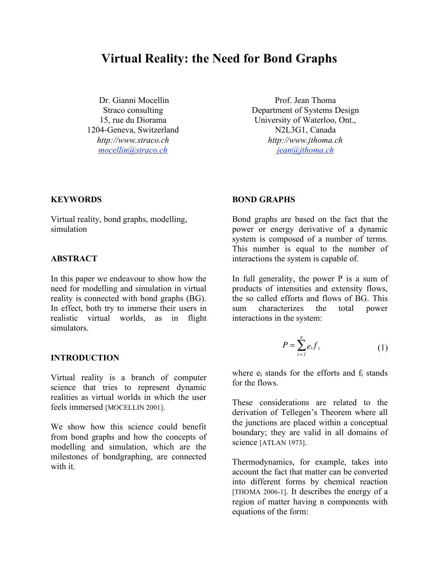# **Virtual Reality: the Need for Bond Graphs**

Dr. Gianni Mocellin Straco consulting 15, rue du Diorama 1204-Geneva, Switzerland *http://www.straco.ch mocellin@straco.ch*

Prof. Jean Thoma Department of Systems Design University of Waterloo, Ont., N2L3G1, Canada *http://www.jthoma.ch jean@jthoma.ch*

#### **KEYWORDS**

Virtual reality, bond graphs, modelling, simulation

#### **ABSTRACT**

In this paper we endeavour to show how the need for modelling and simulation in virtual reality is connected with bond graphs (BG). In effect, both try to immerse their users in realistic virtual worlds, as in flight simulators.

## **INTRODUCTION**

Virtual reality is a branch of computer science that tries to represent dynamic realities as virtual worlds in which the user feels immersed [MOCELLIN 2001].

We show how this science could benefit from bond graphs and how the concepts of modelling and simulation, which are the milestones of bondgraphing, are connected with it.

#### **BOND GRAPHS**

Bond graphs are based on the fact that the power or energy derivative of a dynamic system is composed of a number of terms. This number is equal to the number of interactions the system is capable of.

In full generality, the power P is a sum of products of intensities and extensity flows, the so called efforts and flows of BG. This sum characterizes the total power interactions in the system:

$$
P = \sum_{i=1}^{n} e_i f_i \tag{1}
$$

where  $e_i$  stands for the efforts and  $f_i$  stands for the flows.

These considerations are related to the derivation of Tellegen's Theorem where all the junctions are placed within a conceptual boundary; they are valid in all domains of science [ATLAN 1973].

Thermodynamics, for example, takes into account the fact that matter can be converted into different forms by chemical reaction [THOMA 2006-1]. It describes the energy of a region of matter having n components with equations of the form: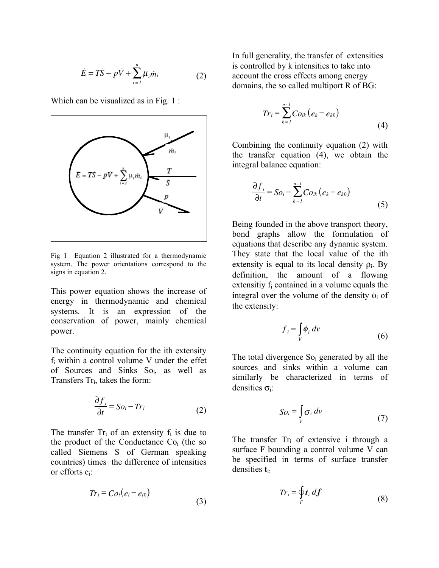$$
\dot{E} = T\dot{S} - p\dot{V} + \sum_{i=1}^{n} \mu_i \dot{m}_i
$$
 (2)

Which can be visualized as in Fig. 1 :



Fig 1 Equation 2 illustrated for a thermodynamic system. The power orientations correspond to the signs in equation 2.

This power equation shows the increase of energy in thermodynamic and chemical systems. It is an expression of the conservation of power, mainly chemical power.

The continuity equation for the ith extensity fi within a control volume V under the effet of Sources and Sinks So<sub>i</sub>, as well as Transfers Tri, takes the form:

$$
\frac{\partial f_i}{\partial t} = So_i - Tr_i \tag{2}
$$

The transfer  $Tr_i$  of an extensity  $f_i$  is due to the product of the Conductance  $Co<sub>i</sub>$  (the so called Siemens S of German speaking countries) times the difference of intensities or efforts ei:

$$
Tr_i = Co_i(e_i - e_{i0})
$$
\n(3)

In full generality, the transfer of extensities is controlled by k intensities to take into account the cross effects among energy domains, the so called multiport R of BG:

$$
Tr_{i} = \sum_{k=1}^{n-1} C_{0ik} (e_{k} - e_{k0})
$$
\n(4)

Combining the continuity equation (2) with the transfer equation (4), we obtain the integral balance equation:

$$
\frac{\partial f_i}{\partial t} = So_i - \sum_{k=1}^{n-1} Co_{ik} (e_k - e_{k0})
$$
\n(5)

Being founded in the above transport theory, bond graphs allow the formulation of equations that describe any dynamic system. They state that the local value of the ith extensity is equal to its local density  $\rho_i$ . By definition, the amount of a flowing extensitiy f<sub>i</sub> contained in a volume equals the integral over the volume of the density  $\phi_i$  of the extensity:

$$
f_i = \int\limits_V \phi_i \, dv \tag{6}
$$

The total divergence So<sub>i</sub> generated by all the sources and sinks within a volume can similarly be characterized in terms of densities  $\sigma$ :

$$
So_i = \int\limits_V \sigma_i \, dv \tag{7}
$$

The transfer  $Tr_i$  of extensive i through a surface F bounding a control volume V can be specified in terms of surface transfer densities **t**i:

$$
Tr_i = \oint\limits_F t_i \, df \tag{8}
$$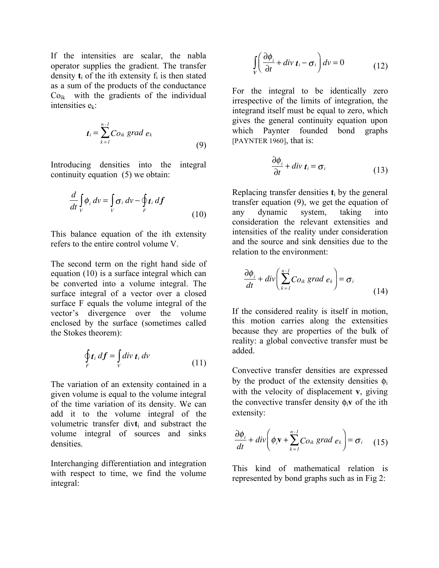If the intensities are scalar, the nabla operator supplies the gradient. The transfer density  $t_i$  of the ith extensity  $f_i$  is then stated as a sum of the products of the conductance  $Co_{ik}$  with the gradients of the individual intensities ek:

$$
t_i = \sum_{k=1}^{n-1} Co_{ik} \; grad \; e_k \tag{9}
$$

Introducing densities into the integral continuity equation (5) we obtain:

$$
\frac{d}{dt}\int_{V}\phi_{i} dv = \int_{V}\sigma_{i} dv - \oint_{F}t_{i} df
$$
\n(10)

This balance equation of the ith extensity refers to the entire control volume V.

The second term on the right hand side of equation (10) is a surface integral which can be converted into a volume integral. The surface integral of a vector over a closed surface F equals the volume integral of the vector's divergence over the volume enclosed by the surface (sometimes called the Stokes theorem):

$$
\oint_{F} t_i \, df = \int_{V} \operatorname{div} t_i \, dv \tag{11}
$$

The variation of an extensity contained in a given volume is equal to the volume integral of the time variation of its density. We can add it to the volume integral of the volumetric transfer div**t**<sup>i</sup> and substract the volume integral of sources and sinks densities.

Interchanging differentiation and integration with respect to time, we find the volume integral:

$$
\int_{V} \left( \frac{\partial \phi_i}{\partial t} + \operatorname{div} \mathbf{t}_i - \sigma_i \right) dv = 0 \tag{12}
$$

For the integral to be identically zero irrespective of the limits of integration, the integrand itself must be equal to zero, which gives the general continuity equation upon which Paynter founded bond graphs [PAYNTER 1960], that is:

$$
\frac{\partial \phi_i}{\partial t} + \text{div } \mathbf{t}_i = \sigma_i
$$
 (13)

Replacing transfer densities **t**<sup>i</sup> by the general transfer equation (9), we get the equation of any dynamic system, taking into consideration the relevant extensities and intensities of the reality under consideration and the source and sink densities due to the relation to the environment:

$$
\frac{\partial \phi_i}{dt} + div \bigg( \sum_{k=1}^{n-1} C_{0ik} \, grad \, e_k \bigg) = \sigma_i \tag{14}
$$

If the considered reality is itself in motion, this motion carries along the extensities because they are properties of the bulk of reality: a global convective transfer must be added.

Convective transfer densities are expressed by the product of the extensity densities  $\phi_i$ with the velocity of displacement **v**, giving the convective transfer density  $\phi_i$ **v** of the ith extensity:

$$
\frac{\partial \phi_i}{dt} + div \bigg( \phi_i \mathbf{v} + \sum_{k=1}^{n-1} C_{0ik} \, grad \, e_k \bigg) = \sigma_i \quad (15)
$$

This kind of mathematical relation is represented by bond graphs such as in Fig 2: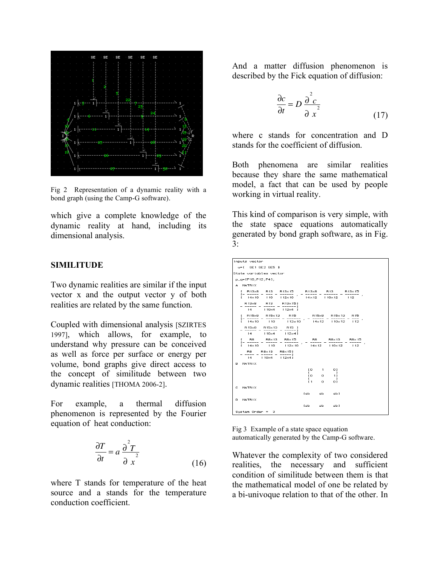

Fig 2 Representation of a dynamic reality with a bond graph (using the Camp-G software).

which give a complete knowledge of the dynamic reality at hand, including its dimensional analysis.

#### **SIMILITUDE**

Two dynamic realities are similar if the input vector x and the output vector y of both realities are related by the same function.

Coupled with dimensional analysis [SZIRTES 1997], which allows, for example, to understand why pressure can be conceived as well as force per surface or energy per volume, bond graphs give direct access to the concept of similitude between two dynamic realities [THOMA 2006-2].

For example, a thermal diffusion phenomenon is represented by the Fourier equation of heat conduction:

$$
\frac{\partial T}{\partial t} = a \frac{\partial^2 T}{\partial x^2}
$$
 (16)

where T stands for temperature of the heat source and a stands for the temperature conduction coefficient.

And a matter diffusion phenomenon is described by the Fick equation of diffusion:

$$
\frac{\partial c}{\partial t} = D \frac{\partial^2 c}{\partial x^2}
$$
 (17)

where c stands for concentration and D stands for the coefficient of diffusion.

Both phenomena are similar realities because they share the same mathematical model, a fact that can be used by people working in virtual reality.

This kind of comparison is very simple, with the state space equations automatically generated by bond graph software, as in Fig.  $3:$ 

| Inputs vector                                                             |                                                      |
|---------------------------------------------------------------------------|------------------------------------------------------|
| $u=1$ SE1 SE2 SE5 1                                                       |                                                      |
| State variables vector                                                    |                                                      |
| p_q=[P10;P12;P4];                                                         |                                                      |
| A MATRIX                                                                  |                                                      |
| R13x8 R13 R13x15 R13x8 R13 R13x15<br>r.<br>.                              |                                                      |
| $1 + 14 \times 10$ 110 $112 \times 10$ 14 $\times 12$ 110 $\times 12$ 112 |                                                      |
| R13×8 R13 R13×151<br>$-----1$                                             |                                                      |
| $14$ $110\times4$ $112\times4$ 1                                          |                                                      |
| R15x8 R15x13 R15<br>E.<br>f- ----- -                                      | R15×8 R15×13<br>R 15<br>$- - - - -$<br>$---$         |
| $14 \times 10$ 110 112×10                                                 | $\mathbf{r}$<br>$14 \times 12$ $110 \times 12$ $112$ |
| R15x8 R15x13 R15 I                                                        |                                                      |
| $14$ $110\times4$ $112\times41$                                           |                                                      |
| I R8 R8×13 R8×15 R8 R8×13<br>$-1$                                         | $R8\times15$                                         |
| $1 + 14 \times 10$ 110 112×10                                             | $14 \times 12$ $110 \times 12$ $112$                 |
| R8 R8×13 R8×151<br>$----- - - - - - - - ]$                                |                                                      |
| $14$ $110\times4$ $12\times41$                                            |                                                      |
| в.<br>MATRIX                                                              |                                                      |
|                                                                           | tο<br>$\sim$ 1<br>- 01<br>r.<br>- 1                  |
|                                                                           | to.<br>$\sim$ 0<br>11<br>г.<br>п                     |
|                                                                           | $E_1$<br>$\sim$ 0<br>01                              |
| C.<br>MATRIX                                                              |                                                      |
|                                                                           | [sb sb sb]                                           |
| D MATRIX                                                                  |                                                      |
|                                                                           | lsb ∴<br>$sb$ $sb$ ]                                 |
| System Order = $3$                                                        |                                                      |

Fig 3 Example of a state space equation automatically generated by the Camp-G software.

Whatever the complexity of two considered realities, the necessary and sufficient condition of similitude between them is that the mathematical model of one be related by a bi-univoque relation to that of the other. In